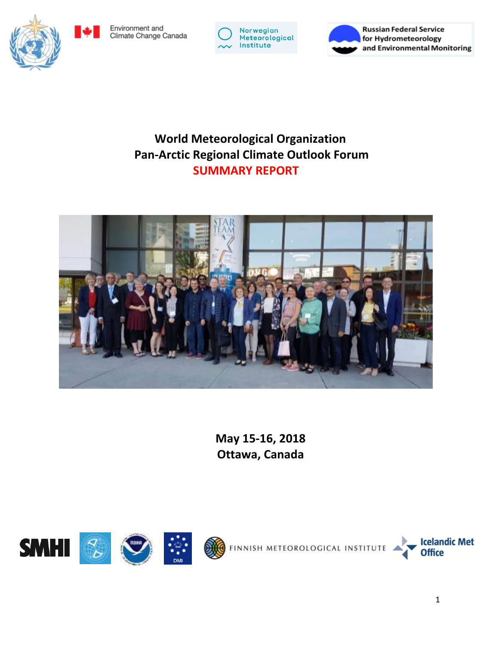Environment and Climate Change Canada



**Russian Federal Service** for Hydrometeorology and Environmental Monitoring

# **World Meteorological Organization Pan-Arctic Regional Climate Outlook Forum SUMMARY REPORT**



**May 15-16, 2018 Ottawa, Canada**

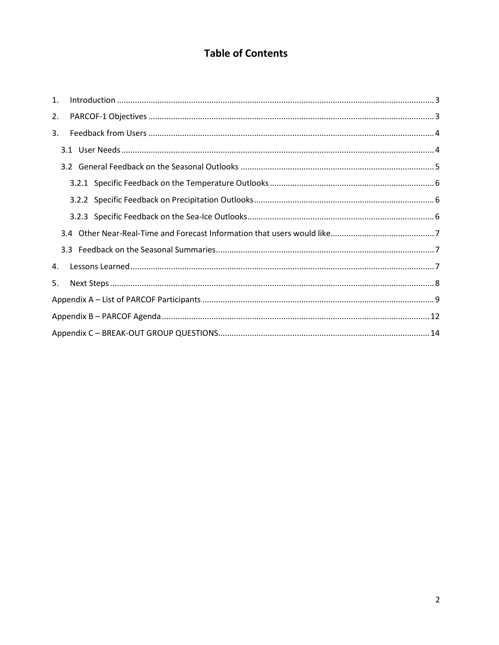## **Table of Contents**

| $\mathbf{1}$ . | $\label{eq:1} \mbox{Introduction} \,\, \ldots \,\, \ldots \,\, \ldots \,\, \ldots \,\, \ldots \,\, \ldots \,\, \ldots \,\, \ldots \,\, \ldots \,\, \ldots \,\, \ldots \,\, \ldots \,\, \ldots \,\, \ldots \,\, \ldots \,\, \ldots \,\, \ldots \,\, \ldots \,\, \ldots \,\, \ldots \,\, \ldots \,\, \ldots \,\, \ldots \,\, \ldots \,\, \ldots \,\, \ldots \,\, \ldots \,\, \ldots \,\, \ldots \,\, \ldots \,\, \ldots \,\, \ldots \,\, \ldots \,\, \ldots \,\,$ |  |
|----------------|-----------------------------------------------------------------------------------------------------------------------------------------------------------------------------------------------------------------------------------------------------------------------------------------------------------------------------------------------------------------------------------------------------------------------------------------------------------------|--|
| 2.             |                                                                                                                                                                                                                                                                                                                                                                                                                                                                 |  |
| 3.             |                                                                                                                                                                                                                                                                                                                                                                                                                                                                 |  |
|                |                                                                                                                                                                                                                                                                                                                                                                                                                                                                 |  |
|                |                                                                                                                                                                                                                                                                                                                                                                                                                                                                 |  |
|                |                                                                                                                                                                                                                                                                                                                                                                                                                                                                 |  |
|                |                                                                                                                                                                                                                                                                                                                                                                                                                                                                 |  |
|                |                                                                                                                                                                                                                                                                                                                                                                                                                                                                 |  |
|                |                                                                                                                                                                                                                                                                                                                                                                                                                                                                 |  |
|                |                                                                                                                                                                                                                                                                                                                                                                                                                                                                 |  |
| 4.             |                                                                                                                                                                                                                                                                                                                                                                                                                                                                 |  |
| 5.             |                                                                                                                                                                                                                                                                                                                                                                                                                                                                 |  |
|                |                                                                                                                                                                                                                                                                                                                                                                                                                                                                 |  |
|                |                                                                                                                                                                                                                                                                                                                                                                                                                                                                 |  |
|                |                                                                                                                                                                                                                                                                                                                                                                                                                                                                 |  |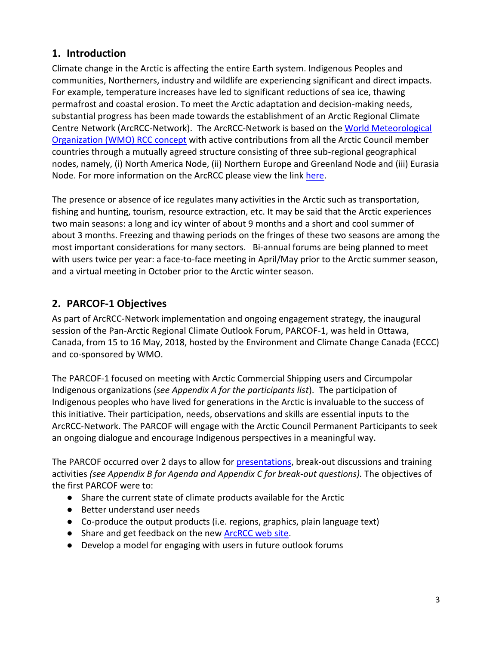## <span id="page-2-0"></span>**1. Introduction**

Climate change in the Arctic is affecting the entire Earth system. Indigenous Peoples and communities, Northerners, industry and wildlife are experiencing significant and direct impacts. For example, temperature increases have led to significant reductions of sea ice, thawing permafrost and coastal erosion. To meet the Arctic adaptation and decision-making needs, substantial progress has been made towards the establishment of an Arctic Regional Climate Centre Network (ArcRCC-Network). The ArcRCC-Network is based on the [World Meteorological](http://www.wmo.int/pages/prog/wcp/wcasp/rcc/rcc.php)  [Organization \(WMO\) RCC concept](http://www.wmo.int/pages/prog/wcp/wcasp/rcc/rcc.php) with active contributions from all the Arctic Council member countries through a mutually agreed structure consisting of three sub-regional geographical nodes, namely, (i) North America Node, (ii) Northern Europe and Greenland Node and (iii) Eurasia Node. For more information on the ArcRCC please view the link [here.](http://www.wmo.int/pages/prog/wcp/wcasp/meetings/parcof/documents/ANNEX-1IntroducingArcRCC.pdf)

The presence or absence of ice regulates many activities in the Arctic such as transportation, fishing and hunting, tourism, resource extraction, etc. It may be said that the Arctic experiences two main seasons: a long and icy winter of about 9 months and a short and cool summer of about 3 months. Freezing and thawing periods on the fringes of these two seasons are among the most important considerations for many sectors. Bi-annual forums are being planned to meet with users twice per year: a face-to-face meeting in April/May prior to the Arctic summer season, and a virtual meeting in October prior to the Arctic winter season.

# <span id="page-2-1"></span>**2. PARCOF-1 Objectives**

As part of ArcRCC-Network implementation and ongoing engagement strategy, the inaugural session of the Pan-Arctic Regional Climate Outlook Forum, PARCOF-1, was held in Ottawa, Canada, from 15 to 16 May, 2018, hosted by the Environment and Climate Change Canada (ECCC) and co-sponsored by WMO.

The PARCOF-1 focused on meeting with Arctic Commercial Shipping users and Circumpolar Indigenous organizations (*see Appendix A for the participants list*). The participation of Indigenous peoples who have lived for generations in the Arctic is invaluable to the success of this initiative. Their participation, needs, observations and skills are essential inputs to the ArcRCC-Network. The PARCOF will engage with the Arctic Council Permanent Participants to seek an ongoing dialogue and encourage Indigenous perspectives in a meaningful way.

The PARCOF occurred over 2 days to allow for [presentations,](http://www.wmo.int/pages/prog/wcp/wcasp/meetings/parcof/parcof-canada2018.html) break-out discussions and training activities *(see Appendix B for Agenda and Appendix C for break-out questions).* The objectives of the first PARCOF were to:

- Share the current state of climate products available for the Arctic
- Better understand user needs
- Co-produce the output products (i.e. regions, graphics, plain language text)
- Share and get feedback on the new [ArcRCC web site.](http://www.arctic-rcc.org/)
- Develop a model for engaging with users in future outlook forums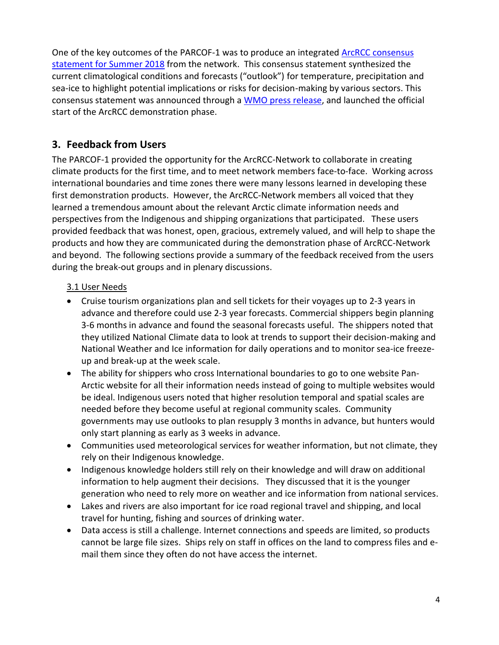One of the key outcomes of the PARCOF-1 was to produce an integrated **ArcRCC** consensus [statement for Summer](http://ane4bf-datap1.s3-eu-west-1.amazonaws.com/wmocms/s3fs-public/ckeditor/files/PARCOF-1-Consensus-Statement-May2018.pdf?GReI3DlFEMW8sM4UA91GE3ugSr_io4lv) 2018 from the network. This consensus statement synthesized the current climatological conditions and forecasts ("outlook") for temperature, precipitation and sea-ice to highlight potential implications or risks for decision-making by various sectors. This consensus statement was announced through a [WMO press release,](https://public.wmo.int/en/media/press-release/wmo-launches-arctic-regional-climate-centre-network) and launched the official start of the ArcRCC demonstration phase.

## <span id="page-3-0"></span>**3. Feedback from Users**

The PARCOF-1 provided the opportunity for the ArcRCC-Network to collaborate in creating climate products for the first time, and to meet network members face-to-face. Working across international boundaries and time zones there were many lessons learned in developing these first demonstration products. However, the ArcRCC-Network members all voiced that they learned a tremendous amount about the relevant Arctic climate information needs and perspectives from the Indigenous and shipping organizations that participated. These users provided feedback that was honest, open, gracious, extremely valued, and will help to shape the products and how they are communicated during the demonstration phase of ArcRCC-Network and beyond. The following sections provide a summary of the feedback received from the users during the break-out groups and in plenary discussions.

#### <span id="page-3-1"></span>3.1 User Needs

- Cruise tourism organizations plan and sell tickets for their voyages up to 2-3 years in advance and therefore could use 2-3 year forecasts. Commercial shippers begin planning 3-6 months in advance and found the seasonal forecasts useful. The shippers noted that they utilized National Climate data to look at trends to support their decision-making and National Weather and Ice information for daily operations and to monitor sea-ice freezeup and break-up at the week scale.
- The ability for shippers who cross International boundaries to go to one website Pan-Arctic website for all their information needs instead of going to multiple websites would be ideal. Indigenous users noted that higher resolution temporal and spatial scales are needed before they become useful at regional community scales. Community governments may use outlooks to plan resupply 3 months in advance, but hunters would only start planning as early as 3 weeks in advance.
- Communities used meteorological services for weather information, but not climate, they rely on their Indigenous knowledge.
- Indigenous knowledge holders still rely on their knowledge and will draw on additional information to help augment their decisions. They discussed that it is the younger generation who need to rely more on weather and ice information from national services.
- Lakes and rivers are also important for ice road regional travel and shipping, and local travel for hunting, fishing and sources of drinking water.
- Data access is still a challenge. Internet connections and speeds are limited, so products cannot be large file sizes. Ships rely on staff in offices on the land to compress files and email them since they often do not have access the internet.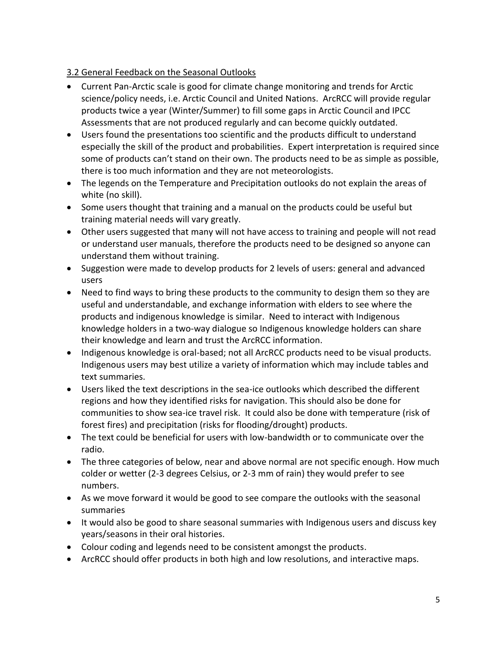#### <span id="page-4-0"></span>3.2 General Feedback on the Seasonal Outlooks

- Current Pan-Arctic scale is good for climate change monitoring and trends for Arctic science/policy needs, i.e. Arctic Council and United Nations. ArcRCC will provide regular products twice a year (Winter/Summer) to fill some gaps in Arctic Council and IPCC Assessments that are not produced regularly and can become quickly outdated.
- Users found the presentations too scientific and the products difficult to understand especially the skill of the product and probabilities. Expert interpretation is required since some of products can't stand on their own. The products need to be as simple as possible, there is too much information and they are not meteorologists.
- The legends on the Temperature and Precipitation outlooks do not explain the areas of white (no skill).
- Some users thought that training and a manual on the products could be useful but training material needs will vary greatly.
- Other users suggested that many will not have access to training and people will not read or understand user manuals, therefore the products need to be designed so anyone can understand them without training.
- Suggestion were made to develop products for 2 levels of users: general and advanced users
- Need to find ways to bring these products to the community to design them so they are useful and understandable, and exchange information with elders to see where the products and indigenous knowledge is similar. Need to interact with Indigenous knowledge holders in a two-way dialogue so Indigenous knowledge holders can share their knowledge and learn and trust the ArcRCC information.
- Indigenous knowledge is oral-based; not all ArcRCC products need to be visual products. Indigenous users may best utilize a variety of information which may include tables and text summaries.
- Users liked the text descriptions in the sea-ice outlooks which described the different regions and how they identified risks for navigation. This should also be done for communities to show sea-ice travel risk. It could also be done with temperature (risk of forest fires) and precipitation (risks for flooding/drought) products.
- The text could be beneficial for users with low-bandwidth or to communicate over the radio.
- The three categories of below, near and above normal are not specific enough. How much colder or wetter (2-3 degrees Celsius, or 2-3 mm of rain) they would prefer to see numbers.
- As we move forward it would be good to see compare the outlooks with the seasonal summaries
- It would also be good to share seasonal summaries with Indigenous users and discuss key years/seasons in their oral histories.
- Colour coding and legends need to be consistent amongst the products.
- ArcRCC should offer products in both high and low resolutions, and interactive maps.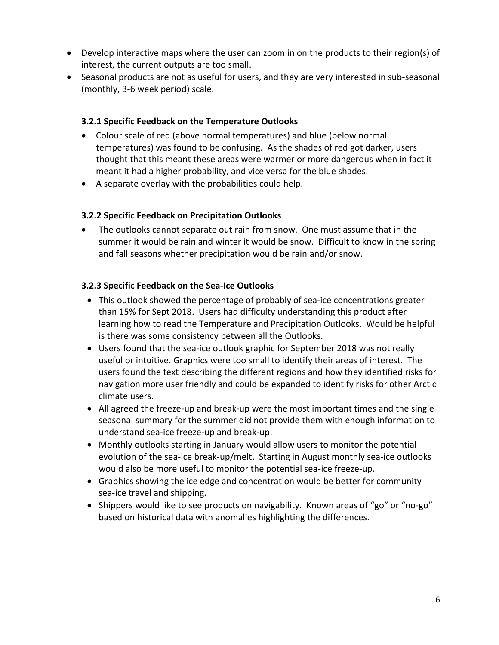- Develop interactive maps where the user can zoom in on the products to their region(s) of interest, the current outputs are too small.
- Seasonal products are not as useful for users, and they are very interested in sub-seasonal (monthly, 3-6 week period) scale.

#### <span id="page-5-0"></span>**3.2.1 Specific Feedback on the Temperature Outlooks**

- Colour scale of red (above normal temperatures) and blue (below normal temperatures) was found to be confusing. As the shades of red got darker, users thought that this meant these areas were warmer or more dangerous when in fact it meant it had a higher probability, and vice versa for the blue shades.
- A separate overlay with the probabilities could help.

#### <span id="page-5-1"></span>**3.2.2 Specific Feedback on Precipitation Outlooks**

 The outlooks cannot separate out rain from snow. One must assume that in the summer it would be rain and winter it would be snow. Difficult to know in the spring and fall seasons whether precipitation would be rain and/or snow.

#### <span id="page-5-2"></span>**3.2.3 Specific Feedback on the Sea-Ice Outlooks**

- This outlook showed the percentage of probably of sea-ice concentrations greater than 15% for Sept 2018. Users had difficulty understanding this product after learning how to read the Temperature and Precipitation Outlooks. Would be helpful is there was some consistency between all the Outlooks.
- Users found that the sea-ice outlook graphic for September 2018 was not really useful or intuitive. Graphics were too small to identify their areas of interest. The users found the text describing the different regions and how they identified risks for navigation more user friendly and could be expanded to identify risks for other Arctic climate users.
- All agreed the freeze-up and break-up were the most important times and the single seasonal summary for the summer did not provide them with enough information to understand sea-ice freeze-up and break-up.
- Monthly outlooks starting in January would allow users to monitor the potential evolution of the sea-ice break-up/melt. Starting in August monthly sea-ice outlooks would also be more useful to monitor the potential sea-ice freeze-up.
- Graphics showing the ice edge and concentration would be better for community sea-ice travel and shipping.
- Shippers would like to see products on navigability. Known areas of "go" or "no-go" based on historical data with anomalies highlighting the differences.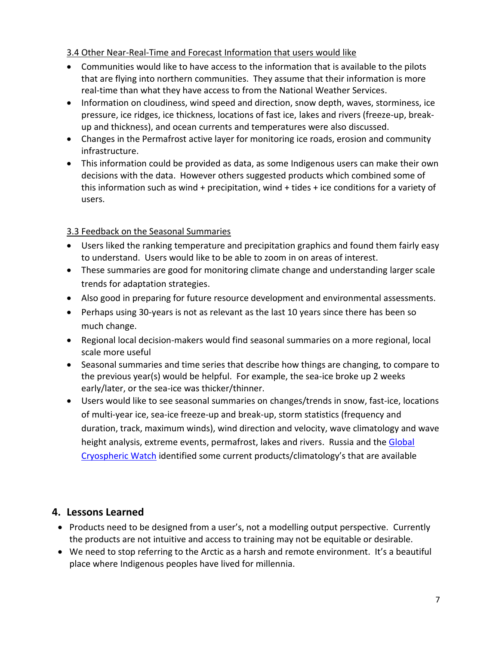#### <span id="page-6-0"></span>3.4 Other Near-Real-Time and Forecast Information that users would like

- Communities would like to have access to the information that is available to the pilots that are flying into northern communities. They assume that their information is more real-time than what they have access to from the National Weather Services.
- Information on cloudiness, wind speed and direction, snow depth, waves, storminess, ice pressure, ice ridges, ice thickness, locations of fast ice, lakes and rivers (freeze-up, breakup and thickness), and ocean currents and temperatures were also discussed.
- Changes in the Permafrost active layer for monitoring ice roads, erosion and community infrastructure.
- This information could be provided as data, as some Indigenous users can make their own decisions with the data. However others suggested products which combined some of this information such as wind + precipitation, wind + tides + ice conditions for a variety of users.

### <span id="page-6-1"></span>3.3 Feedback on the Seasonal Summaries

- Users liked the ranking temperature and precipitation graphics and found them fairly easy to understand. Users would like to be able to zoom in on areas of interest.
- These summaries are good for monitoring climate change and understanding larger scale trends for adaptation strategies.
- Also good in preparing for future resource development and environmental assessments.
- Perhaps using 30-years is not as relevant as the last 10 years since there has been so much change.
- Regional local decision-makers would find seasonal summaries on a more regional, local scale more useful
- Seasonal summaries and time series that describe how things are changing, to compare to the previous year(s) would be helpful. For example, the sea-ice broke up 2 weeks early/later, or the sea-ice was thicker/thinner.
- Users would like to see seasonal summaries on changes/trends in snow, fast-ice, locations of multi-year ice, sea-ice freeze-up and break-up, storm statistics (frequency and duration, track, maximum winds), wind direction and velocity, wave climatology and wave height analysis, extreme events, permafrost, lakes and rivers. Russia and the Global [Cryospheric Watch](https://globalcryospherewatch.org/) identified some current products/climatology's that are available

## <span id="page-6-2"></span>**4. Lessons Learned**

- Products need to be designed from a user's, not a modelling output perspective. Currently the products are not intuitive and access to training may not be equitable or desirable.
- We need to stop referring to the Arctic as a harsh and remote environment. It's a beautiful place where Indigenous peoples have lived for millennia.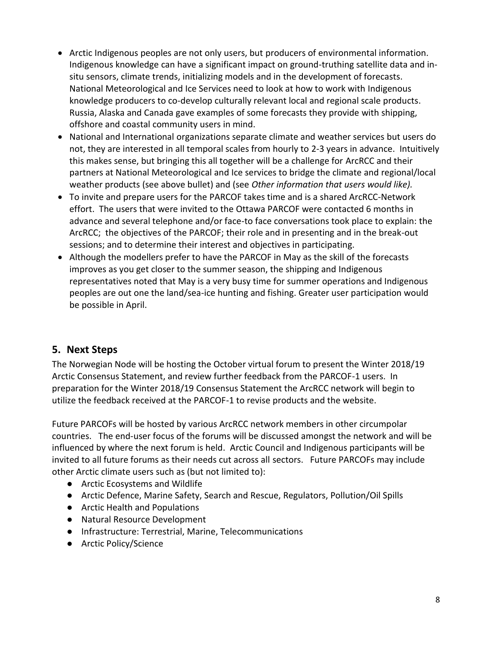- Arctic Indigenous peoples are not only users, but producers of environmental information. Indigenous knowledge can have a significant impact on ground-truthing satellite data and insitu sensors, climate trends, initializing models and in the development of forecasts. National Meteorological and Ice Services need to look at how to work with Indigenous knowledge producers to co-develop culturally relevant local and regional scale products. Russia, Alaska and Canada gave examples of some forecasts they provide with shipping, offshore and coastal community users in mind.
- National and International organizations separate climate and weather services but users do not, they are interested in all temporal scales from hourly to 2-3 years in advance. Intuitively this makes sense, but bringing this all together will be a challenge for ArcRCC and their partners at National Meteorological and Ice services to bridge the climate and regional/local weather products (see above bullet) and (see *Other information that users would like).*
- To invite and prepare users for the PARCOF takes time and is a shared ArcRCC-Network effort. The users that were invited to the Ottawa PARCOF were contacted 6 months in advance and several telephone and/or face-to face conversations took place to explain: the ArcRCC; the objectives of the PARCOF; their role and in presenting and in the break-out sessions; and to determine their interest and objectives in participating.
- Although the modellers prefer to have the PARCOF in May as the skill of the forecasts improves as you get closer to the summer season, the shipping and Indigenous representatives noted that May is a very busy time for summer operations and Indigenous peoples are out one the land/sea-ice hunting and fishing. Greater user participation would be possible in April.

## <span id="page-7-0"></span>**5. Next Steps**

The Norwegian Node will be hosting the October virtual forum to present the Winter 2018/19 Arctic Consensus Statement, and review further feedback from the PARCOF-1 users. In preparation for the Winter 2018/19 Consensus Statement the ArcRCC network will begin to utilize the feedback received at the PARCOF-1 to revise products and the website.

Future PARCOFs will be hosted by various ArcRCC network members in other circumpolar countries. The end-user focus of the forums will be discussed amongst the network and will be influenced by where the next forum is held. Arctic Council and Indigenous participants will be invited to all future forums as their needs cut across all sectors. Future PARCOFs may include other Arctic climate users such as (but not limited to):

- Arctic Ecosystems and Wildlife
- Arctic Defence, Marine Safety, Search and Rescue, Regulators, Pollution/Oil Spills
- Arctic Health and Populations
- Natural Resource Development
- Infrastructure: Terrestrial, Marine, Telecommunications
- Arctic Policy/Science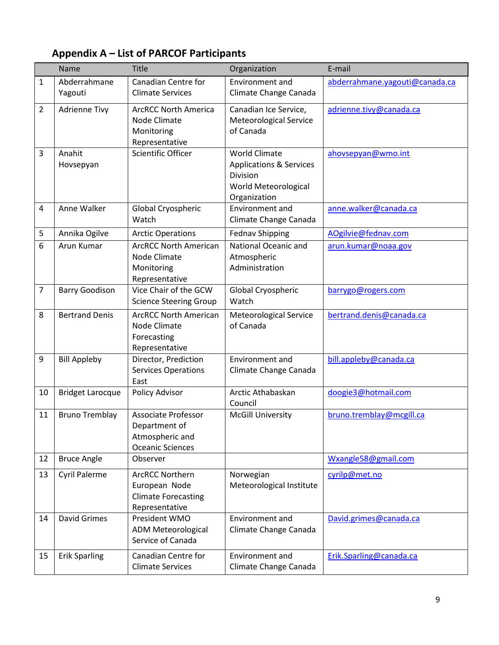# <span id="page-8-0"></span>**Appendix A – List of PARCOF Participants**

|                | Name                    | <b>Title</b>                                                                              | Organization                                                                                                   | E-mail                         |
|----------------|-------------------------|-------------------------------------------------------------------------------------------|----------------------------------------------------------------------------------------------------------------|--------------------------------|
| 1              | Abderrahmane<br>Yagouti | Canadian Centre for<br><b>Climate Services</b>                                            | <b>Environment</b> and<br>Climate Change Canada                                                                | abderrahmane.yagouti@canada.ca |
| $\overline{2}$ | <b>Adrienne Tivy</b>    | <b>ArcRCC North America</b><br>Node Climate<br>Monitoring<br>Representative               | Canadian Ice Service,<br>Meteorological Service<br>of Canada                                                   | adrienne.tivy@canada.ca        |
| 3              | Anahit<br>Hovsepyan     | Scientific Officer                                                                        | <b>World Climate</b><br><b>Applications &amp; Services</b><br>Division<br>World Meteorological<br>Organization | ahovsepyan@wmo.int             |
| 4              | Anne Walker             | Global Cryospheric<br>Watch                                                               | <b>Environment and</b><br>Climate Change Canada                                                                | anne.walker@canada.ca          |
| 5              | Annika Ogilve           | <b>Arctic Operations</b>                                                                  | <b>Fednav Shipping</b>                                                                                         | AOgilvie@fednav.com            |
| 6              | Arun Kumar              | <b>ArcRCC North American</b><br>Node Climate<br>Monitoring<br>Representative              | National Oceanic and<br>Atmospheric<br>Administration                                                          | arun.kumar@noaa.gov            |
| $\overline{7}$ | <b>Barry Goodison</b>   | Vice Chair of the GCW<br><b>Science Steering Group</b>                                    | Global Cryospheric<br>Watch                                                                                    | barrygo@rogers.com             |
| 8              | <b>Bertrand Denis</b>   | <b>ArcRCC North American</b><br>Node Climate<br>Forecasting<br>Representative             | <b>Meteorological Service</b><br>of Canada                                                                     | bertrand.denis@canada.ca       |
| 9              | <b>Bill Appleby</b>     | Director, Prediction<br><b>Services Operations</b><br>East                                | Environment and<br>Climate Change Canada                                                                       | bill.appleby@canada.ca         |
| 10             | <b>Bridget Larocque</b> | Policy Advisor                                                                            | Arctic Athabaskan<br>Council                                                                                   | doogie3@hotmail.com            |
| 11             | <b>Bruno Tremblay</b>   | <b>Associate Professor</b><br>Department of<br>Atmospheric and<br><b>Oceanic Sciences</b> | <b>McGill University</b>                                                                                       | bruno.tremblay@mcgill.ca       |
| 12             | <b>Bruce Angle</b>      | Observer                                                                                  |                                                                                                                | Wxangle58@gmail.com            |
| 13             | <b>Cyril Palerme</b>    | <b>ArcRCC Northern</b><br>European Node<br><b>Climate Forecasting</b><br>Representative   | Norwegian<br>Meteorological Institute                                                                          | cyrilp@met.no                  |
| 14             | <b>David Grimes</b>     | President WMO<br><b>ADM Meteorological</b><br>Service of Canada                           | <b>Environment and</b><br>Climate Change Canada                                                                | David.grimes@canada.ca         |
| 15             | <b>Erik Sparling</b>    | Canadian Centre for<br><b>Climate Services</b>                                            | Environment and<br>Climate Change Canada                                                                       | Erik.Sparling@canada.ca        |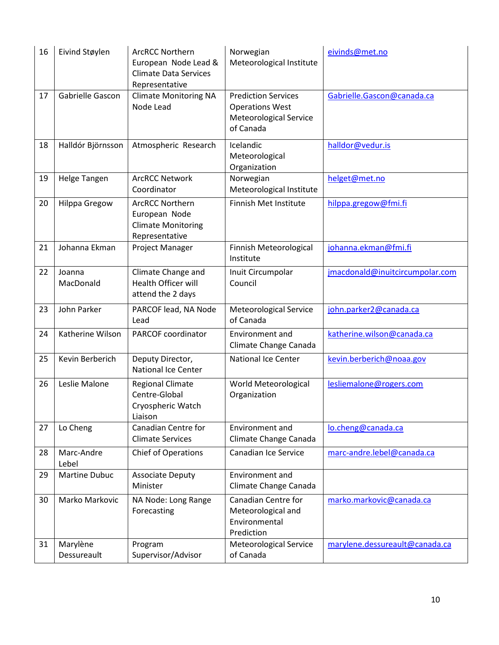| 16 | Eivind Støylen          | <b>ArcRCC Northern</b><br>European Node Lead &<br><b>Climate Data Services</b><br>Representative | Norwegian<br>Meteorological Institute                                                       | eivinds@met.no                  |
|----|-------------------------|--------------------------------------------------------------------------------------------------|---------------------------------------------------------------------------------------------|---------------------------------|
| 17 | Gabrielle Gascon        | <b>Climate Monitoring NA</b><br>Node Lead                                                        | <b>Prediction Services</b><br><b>Operations West</b><br>Meteorological Service<br>of Canada | Gabrielle.Gascon@canada.ca      |
| 18 | Halldór Björnsson       | Atmospheric Research                                                                             | Icelandic<br>Meteorological<br>Organization                                                 | halldor@vedur.is                |
| 19 | Helge Tangen            | <b>ArcRCC Network</b><br>Coordinator                                                             | Norwegian<br>Meteorological Institute                                                       | helget@met.no                   |
| 20 | <b>Hilppa Gregow</b>    | <b>ArcRCC Northern</b><br>European Node<br><b>Climate Monitoring</b><br>Representative           | Finnish Met Institute                                                                       | hilppa.gregow@fmi.fi            |
| 21 | Johanna Ekman           | Project Manager                                                                                  | Finnish Meteorological<br>Institute                                                         | johanna.ekman@fmi.fi            |
| 22 | Joanna<br>MacDonald     | Climate Change and<br>Health Officer will<br>attend the 2 days                                   | Inuit Circumpolar<br>Council                                                                | jmacdonald@inuitcircumpolar.com |
| 23 | John Parker             | PARCOF lead, NA Node<br>Lead                                                                     | Meteorological Service<br>of Canada                                                         | john.parker2@canada.ca          |
| 24 | Katherine Wilson        | PARCOF coordinator                                                                               | Environment and<br>Climate Change Canada                                                    | katherine.wilson@canada.ca      |
| 25 | Kevin Berberich         | Deputy Director,<br><b>National Ice Center</b>                                                   | <b>National Ice Center</b>                                                                  | kevin.berberich@noaa.gov        |
| 26 | Leslie Malone           | <b>Regional Climate</b><br>Centre-Global<br>Cryospheric Watch<br>Liaison                         | World Meteorological<br>Organization                                                        | lesliemalone@rogers.com         |
| 27 | Lo Cheng                | Canadian Centre for<br><b>Climate Services</b>                                                   | Environment and<br>Climate Change Canada                                                    | lo.cheng@canada.ca              |
| 28 | Marc-Andre<br>Lebel     | Chief of Operations                                                                              | Canadian Ice Service                                                                        | marc-andre.lebel@canada.ca      |
| 29 | Martine Dubuc           | <b>Associate Deputy</b><br>Minister                                                              | Environment and<br>Climate Change Canada                                                    |                                 |
| 30 | Marko Markovic          | NA Node: Long Range<br>Forecasting                                                               | Canadian Centre for<br>Meteorological and<br>Environmental<br>Prediction                    | marko.markovic@canada.ca        |
| 31 | Marylène<br>Dessureault | Program<br>Supervisor/Advisor                                                                    | <b>Meteorological Service</b><br>of Canada                                                  | marylene.dessureault@canada.ca  |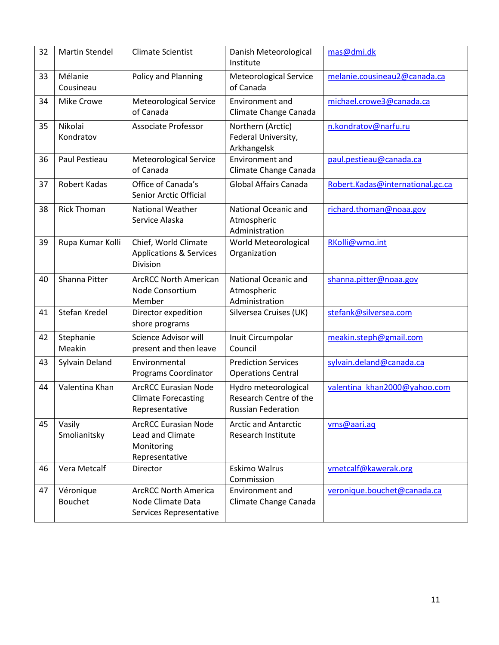| 32 | <b>Martin Stendel</b>       | <b>Climate Scientist</b>                                                        | Danish Meteorological<br>Institute                                          | mas@dmi.dk                       |
|----|-----------------------------|---------------------------------------------------------------------------------|-----------------------------------------------------------------------------|----------------------------------|
| 33 | Mélanie<br>Cousineau        | Policy and Planning                                                             | <b>Meteorological Service</b><br>of Canada                                  | melanie.cousineau2@canada.ca     |
| 34 | <b>Mike Crowe</b>           | <b>Meteorological Service</b><br>of Canada                                      | Environment and<br>Climate Change Canada                                    | michael.crowe3@canada.ca         |
| 35 | Nikolai<br>Kondratov        | <b>Associate Professor</b>                                                      | Northern (Arctic)<br>Federal University,<br>Arkhangelsk                     | n.kondratov@narfu.ru             |
| 36 | Paul Pestieau               | <b>Meteorological Service</b><br>of Canada                                      | Environment and<br>Climate Change Canada                                    | paul.pestieau@canada.ca          |
| 37 | Robert Kadas                | Office of Canada's<br>Senior Arctic Official                                    | <b>Global Affairs Canada</b>                                                | Robert.Kadas@international.gc.ca |
| 38 | <b>Rick Thoman</b>          | <b>National Weather</b><br>Service Alaska                                       | National Oceanic and<br>Atmospheric<br>Administration                       | richard.thoman@noaa.gov          |
| 39 | Rupa Kumar Kolli            | Chief, World Climate<br><b>Applications &amp; Services</b><br>Division          | World Meteorological<br>Organization                                        | RKolli@wmo.int                   |
| 40 | Shanna Pitter               | <b>ArcRCC North American</b><br>Node Consortium<br>Member                       | National Oceanic and<br>Atmospheric<br>Administration                       | shanna.pitter@noaa.gov           |
| 41 | Stefan Kredel               | Director expedition<br>shore programs                                           | Silversea Cruises (UK)                                                      | stefank@silversea.com            |
| 42 | Stephanie<br>Meakin         | Science Advisor will<br>present and then leave                                  | Inuit Circumpolar<br>Council                                                | meakin.steph@gmail.com           |
| 43 | Sylvain Deland              | Environmental<br>Programs Coordinator                                           | <b>Prediction Services</b><br><b>Operations Central</b>                     | sylvain.deland@canada.ca         |
| 44 | Valentina Khan              | <b>ArcRCC Eurasian Node</b><br><b>Climate Forecasting</b><br>Representative     | Hydro meteorological<br>Research Centre of the<br><b>Russian Federation</b> | valentina khan2000@yahoo.com     |
| 45 | Vasily<br>Smolianitsky      | <b>ArcRCC Eurasian Node</b><br>Lead and Climate<br>Monitoring<br>Representative | <b>Arctic and Antarctic</b><br>Research Institute                           | vms@aari.aq                      |
| 46 | Vera Metcalf                | Director                                                                        | <b>Eskimo Walrus</b><br>Commission                                          | vmetcalf@kawerak.org             |
| 47 | Véronique<br><b>Bouchet</b> | <b>ArcRCC North America</b><br>Node Climate Data<br>Services Representative     | Environment and<br>Climate Change Canada                                    | veronique.bouchet@canada.ca      |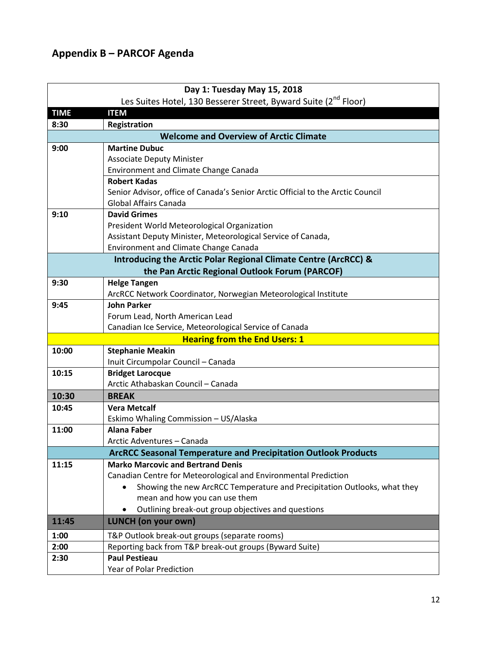# <span id="page-11-0"></span>**Appendix B – PARCOF Agenda**

|             | Day 1: Tuesday May 15, 2018                                                     |
|-------------|---------------------------------------------------------------------------------|
|             | Les Suites Hotel, 130 Besserer Street, Byward Suite (2 <sup>nd</sup> Floor)     |
| <b>TIME</b> | <b>ITEM</b>                                                                     |
| 8:30        | Registration                                                                    |
|             | <b>Welcome and Overview of Arctic Climate</b>                                   |
| 9:00        | <b>Martine Dubuc</b>                                                            |
|             | <b>Associate Deputy Minister</b>                                                |
|             | Environment and Climate Change Canada                                           |
|             | <b>Robert Kadas</b>                                                             |
|             | Senior Advisor, office of Canada's Senior Arctic Official to the Arctic Council |
|             | <b>Global Affairs Canada</b>                                                    |
| 9:10        | <b>David Grimes</b>                                                             |
|             | President World Meteorological Organization                                     |
|             | Assistant Deputy Minister, Meteorological Service of Canada,                    |
|             | <b>Environment and Climate Change Canada</b>                                    |
|             | Introducing the Arctic Polar Regional Climate Centre (ArcRCC) &                 |
|             | the Pan Arctic Regional Outlook Forum (PARCOF)                                  |
| 9:30        | <b>Helge Tangen</b>                                                             |
|             | ArcRCC Network Coordinator, Norwegian Meteorological Institute                  |
| 9:45        | <b>John Parker</b>                                                              |
|             | Forum Lead, North American Lead                                                 |
|             | Canadian Ice Service, Meteorological Service of Canada                          |
|             | <b>Hearing from the End Users: 1</b>                                            |
| 10:00       | <b>Stephanie Meakin</b>                                                         |
|             | Inuit Circumpolar Council - Canada                                              |
| 10:15       | <b>Bridget Larocque</b>                                                         |
|             | Arctic Athabaskan Council - Canada                                              |
| 10:30       | <b>BREAK</b>                                                                    |
| 10:45       | <b>Vera Metcalf</b>                                                             |
|             | Eskimo Whaling Commission - US/Alaska                                           |
| 11:00       | <b>Alana Faber</b>                                                              |
|             | Arctic Adventures - Canada                                                      |
|             | <b>ArcRCC Seasonal Temperature and Precipitation Outlook Products</b>           |
| 11:15       | <b>Marko Marcovic and Bertrand Denis</b>                                        |
|             | Canadian Centre for Meteorological and Environmental Prediction                 |
|             | Showing the new ArcRCC Temperature and Precipitation Outlooks, what they        |
|             | mean and how you can use them                                                   |
|             | Outlining break-out group objectives and questions                              |
| 11:45       | <b>LUNCH</b> (on your own)                                                      |
| 1:00        | T&P Outlook break-out groups (separate rooms)                                   |
| 2:00        | Reporting back from T&P break-out groups (Byward Suite)                         |
| 2:30        | <b>Paul Pestieau</b>                                                            |
|             | Year of Polar Prediction                                                        |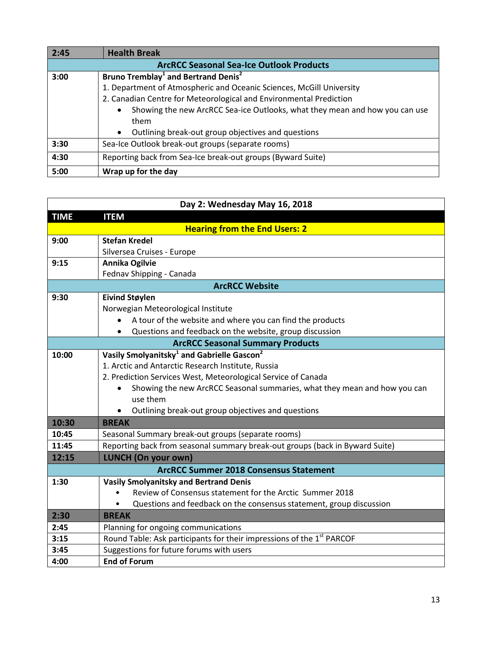| 2:45 | <b>Health Break</b>                                                         |  |  |  |
|------|-----------------------------------------------------------------------------|--|--|--|
|      | <b>ArcRCC Seasonal Sea-Ice Outlook Products</b>                             |  |  |  |
| 3:00 | Bruno Tremblay <sup>1</sup> and Bertrand Denis <sup>2</sup>                 |  |  |  |
|      | 1. Department of Atmospheric and Oceanic Sciences, McGill University        |  |  |  |
|      | 2. Canadian Centre for Meteorological and Environmental Prediction          |  |  |  |
|      | Showing the new ArcRCC Sea-ice Outlooks, what they mean and how you can use |  |  |  |
|      | them                                                                        |  |  |  |
|      | Outlining break-out group objectives and questions<br>$\bullet$             |  |  |  |
| 3:30 | Sea-Ice Outlook break-out groups (separate rooms)                           |  |  |  |
| 4:30 | Reporting back from Sea-Ice break-out groups (Byward Suite)                 |  |  |  |
| 5:00 | Wrap up for the day                                                         |  |  |  |

| Day 2: Wednesday May 16, 2018                 |                                                                                   |  |  |  |
|-----------------------------------------------|-----------------------------------------------------------------------------------|--|--|--|
| <b>TIME</b>                                   | <b>ITEM</b>                                                                       |  |  |  |
|                                               | <b>Hearing from the End Users: 2</b>                                              |  |  |  |
| 9:00                                          | <b>Stefan Kredel</b>                                                              |  |  |  |
|                                               | Silversea Cruises - Europe                                                        |  |  |  |
| 9:15                                          | Annika Ogilvie                                                                    |  |  |  |
|                                               | Fednav Shipping - Canada                                                          |  |  |  |
|                                               | <b>ArcRCC Website</b>                                                             |  |  |  |
| 9:30                                          | <b>Eivind Støylen</b>                                                             |  |  |  |
|                                               | Norwegian Meteorological Institute                                                |  |  |  |
|                                               | A tour of the website and where you can find the products                         |  |  |  |
|                                               | Questions and feedback on the website, group discussion                           |  |  |  |
|                                               | <b>ArcRCC Seasonal Summary Products</b>                                           |  |  |  |
| 10:00                                         | Vasily Smolyanitsky <sup>1</sup> and Gabrielle Gascon <sup>2</sup>                |  |  |  |
|                                               | 1. Arctic and Antarctic Research Institute, Russia                                |  |  |  |
|                                               | 2. Prediction Services West, Meteorological Service of Canada                     |  |  |  |
|                                               | Showing the new ArcRCC Seasonal summaries, what they mean and how you can         |  |  |  |
|                                               | use them                                                                          |  |  |  |
|                                               | Outlining break-out group objectives and questions                                |  |  |  |
| 10:30                                         | <b>BREAK</b>                                                                      |  |  |  |
| 10:45                                         | Seasonal Summary break-out groups (separate rooms)                                |  |  |  |
| 11:45                                         | Reporting back from seasonal summary break-out groups (back in Byward Suite)      |  |  |  |
| 12:15                                         | <b>LUNCH (On your own)</b>                                                        |  |  |  |
| <b>ArcRCC Summer 2018 Consensus Statement</b> |                                                                                   |  |  |  |
| 1:30                                          | <b>Vasily Smolyanitsky and Bertrand Denis</b>                                     |  |  |  |
|                                               | Review of Consensus statement for the Arctic Summer 2018                          |  |  |  |
|                                               | Questions and feedback on the consensus statement, group discussion               |  |  |  |
| 2:30                                          | <b>BREAK</b>                                                                      |  |  |  |
| 2:45                                          | Planning for ongoing communications                                               |  |  |  |
| 3:15                                          | Round Table: Ask participants for their impressions of the 1 <sup>st</sup> PARCOF |  |  |  |
| 3:45                                          | Suggestions for future forums with users                                          |  |  |  |
| 4:00                                          | <b>End of Forum</b>                                                               |  |  |  |